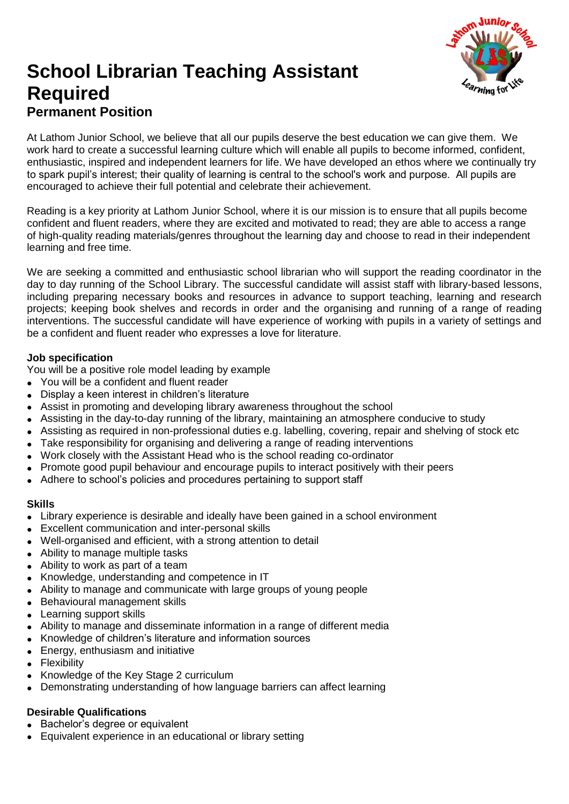

# **School Librarian Teaching Assistant Required Permanent Position**

At Lathom Junior School, we believe that all our pupils deserve the best education we can give them. We work hard to create a successful learning culture which will enable all pupils to become informed, confident, enthusiastic, inspired and independent learners for life. We have developed an ethos where we continually try to spark pupil's interest; their quality of learning is central to the school's work and purpose. All pupils are encouraged to achieve their full potential and celebrate their achievement.

Reading is a key priority at Lathom Junior School, where it is our mission is to ensure that all pupils become confident and fluent readers, where they are excited and motivated to read; they are able to access a range of high-quality reading materials/genres throughout the learning day and choose to read in their independent learning and free time.

We are seeking a committed and enthusiastic school librarian who will support the reading coordinator in the day to day running of the School Library. The successful candidate will assist staff with library-based lessons, including preparing necessary books and resources in advance to support teaching, learning and research projects; keeping book shelves and records in order and the organising and running of a range of reading interventions. The successful candidate will have experience of working with pupils in a variety of settings and be a confident and fluent reader who expresses a love for literature.

### **Job specification**

You will be a positive role model leading by example

- You will be a confident and fluent reader
- Display a keen interest in children's literature
- Assist in promoting and developing library awareness throughout the school
- Assisting in the day-to-day running of the library, maintaining an atmosphere conducive to study
- Assisting as required in non-professional duties e.g. labelling, covering, repair and shelving of stock etc
- Take responsibility for organising and delivering a range of reading interventions
- Work closely with the Assistant Head who is the school reading co-ordinator
- Promote good pupil behaviour and encourage pupils to interact positively with their peers
- Adhere to school's policies and procedures pertaining to support staff

#### **Skills**

- Library experience is desirable and ideally have been gained in a school environment
- Excellent communication and inter-personal skills
- Well-organised and efficient, with a strong attention to detail
- Ability to manage multiple tasks
- Ability to work as part of a team
- Knowledge, understanding and competence in IT
- Ability to manage and communicate with large groups of young people
- Behavioural management skills
- Learning support skills
- Ability to manage and disseminate information in a range of different media
- Knowledge of children's literature and information sources
- Energy, enthusiasm and initiative
- Flexibility
- Knowledge of the Key Stage 2 curriculum
- Demonstrating understanding of how language barriers can affect learning

# **Desirable Qualifications**

- Bachelor's degree or equivalent
- Equivalent experience in an educational or library setting